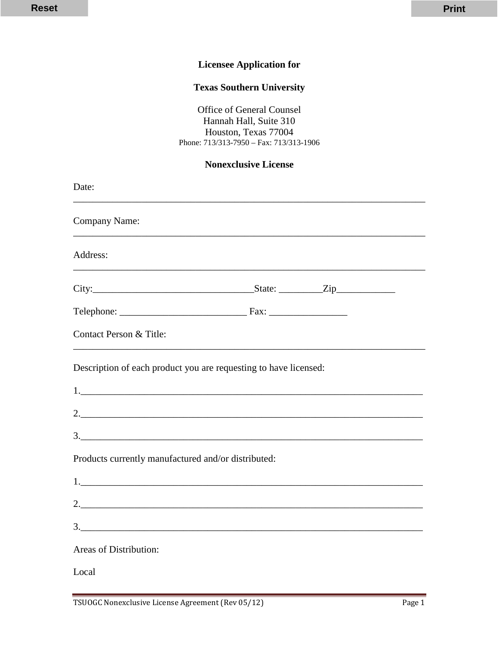## **Licensee Application for**

## **Texas Southern University**

Office of General Counsel Hannah Hall, Suite 310 Houston, Texas 77004 Phone: 713/313-7950 – Fax: 713/313-1906

#### **Nonexclusive License**

| Date:                                                                                                                                                                                                                                                                                                                                                     |               |  |
|-----------------------------------------------------------------------------------------------------------------------------------------------------------------------------------------------------------------------------------------------------------------------------------------------------------------------------------------------------------|---------------|--|
| <b>Company Name:</b>                                                                                                                                                                                                                                                                                                                                      |               |  |
| Address:                                                                                                                                                                                                                                                                                                                                                  |               |  |
|                                                                                                                                                                                                                                                                                                                                                           |               |  |
|                                                                                                                                                                                                                                                                                                                                                           |               |  |
| Contact Person & Title:                                                                                                                                                                                                                                                                                                                                   |               |  |
| Description of each product you are requesting to have licensed:                                                                                                                                                                                                                                                                                          |               |  |
| $\begin{tabular}{ c c c c } \hline \rule{0.3cm}{.03cm} \rule{0.3cm}{.03cm} \rule{0.3cm}{.03cm} \rule{0.3cm}{.03cm} \rule{0.3cm}{.03cm} \rule{0.3cm}{.03cm} \rule{0.3cm}{.03cm} \rule{0.3cm}{.03cm} \rule{0.3cm}{.03cm} \rule{0.3cm}{.03cm} \rule{0.3cm}{.03cm} \rule{0.3cm}{.03cm} \rule{0.3cm}{.03cm} \rule{0.3cm}{.03cm} \rule{0.3cm}{.03cm} \rule{0.3$ |               |  |
|                                                                                                                                                                                                                                                                                                                                                           |               |  |
|                                                                                                                                                                                                                                                                                                                                                           | 3.            |  |
| Products currently manufactured and/or distributed:                                                                                                                                                                                                                                                                                                       |               |  |
| 1.                                                                                                                                                                                                                                                                                                                                                        |               |  |
|                                                                                                                                                                                                                                                                                                                                                           |               |  |
|                                                                                                                                                                                                                                                                                                                                                           | $\frac{3}{2}$ |  |
| Areas of Distribution:                                                                                                                                                                                                                                                                                                                                    |               |  |
| Local                                                                                                                                                                                                                                                                                                                                                     |               |  |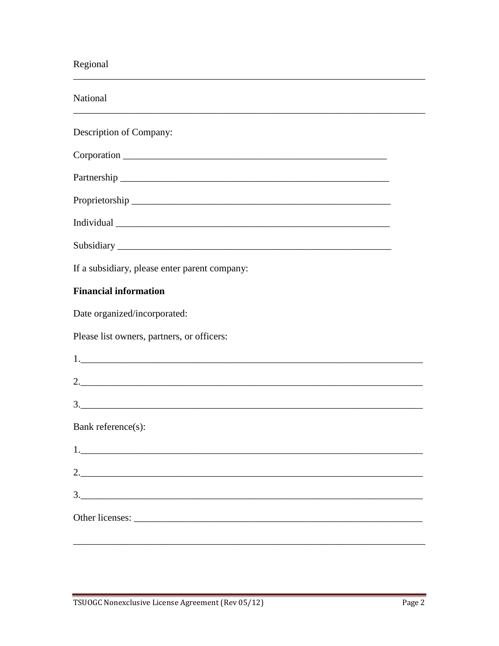# Regional

| National                                      |  |  |  |
|-----------------------------------------------|--|--|--|
| Description of Company:                       |  |  |  |
|                                               |  |  |  |
|                                               |  |  |  |
|                                               |  |  |  |
|                                               |  |  |  |
|                                               |  |  |  |
| If a subsidiary, please enter parent company: |  |  |  |
| <b>Financial information</b>                  |  |  |  |
| Date organized/incorporated:                  |  |  |  |
| Please list owners, partners, or officers:    |  |  |  |
| 1.                                            |  |  |  |
|                                               |  |  |  |
| 3.                                            |  |  |  |
| Bank reference(s):                            |  |  |  |
| 1.                                            |  |  |  |
|                                               |  |  |  |
| $3.$ $\overline{\phantom{a}1}$                |  |  |  |
|                                               |  |  |  |
|                                               |  |  |  |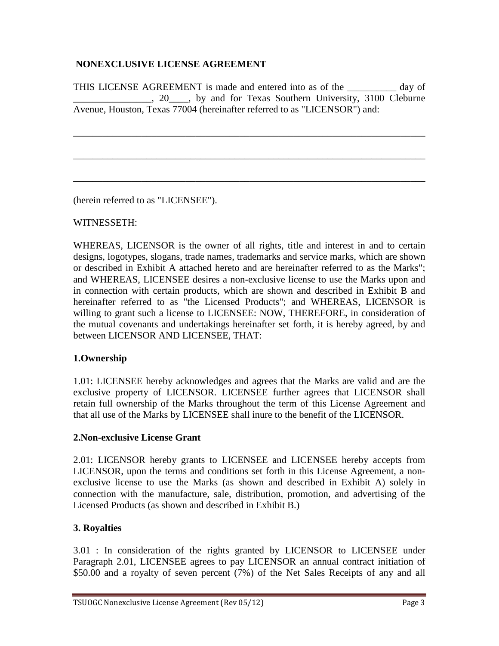### **NONEXCLUSIVE LICENSE AGREEMENT**

THIS LICENSE AGREEMENT is made and entered into as of the \_\_\_\_\_\_\_\_\_\_ day of 1. 20 by and for Texas Southern University, 3100 Cleburne Avenue, Houston, Texas 77004 (hereinafter referred to as "LICENSOR") and:

\_\_\_\_\_\_\_\_\_\_\_\_\_\_\_\_\_\_\_\_\_\_\_\_\_\_\_\_\_\_\_\_\_\_\_\_\_\_\_\_\_\_\_\_\_\_\_\_\_\_\_\_\_\_\_\_\_\_\_\_\_\_\_\_\_\_\_\_\_\_\_\_

\_\_\_\_\_\_\_\_\_\_\_\_\_\_\_\_\_\_\_\_\_\_\_\_\_\_\_\_\_\_\_\_\_\_\_\_\_\_\_\_\_\_\_\_\_\_\_\_\_\_\_\_\_\_\_\_\_\_\_\_\_\_\_\_\_\_\_\_\_\_\_\_

\_\_\_\_\_\_\_\_\_\_\_\_\_\_\_\_\_\_\_\_\_\_\_\_\_\_\_\_\_\_\_\_\_\_\_\_\_\_\_\_\_\_\_\_\_\_\_\_\_\_\_\_\_\_\_\_\_\_\_\_\_\_\_\_\_\_\_\_\_\_\_\_

(herein referred to as "LICENSEE").

### WITNESSETH:

WHEREAS, LICENSOR is the owner of all rights, title and interest in and to certain designs, logotypes, slogans, trade names, trademarks and service marks, which are shown or described in Exhibit A attached hereto and are hereinafter referred to as the Marks"; and WHEREAS, LICENSEE desires a non-exclusive license to use the Marks upon and in connection with certain products, which are shown and described in Exhibit B and hereinafter referred to as "the Licensed Products"; and WHEREAS, LICENSOR is willing to grant such a license to LICENSEE: NOW, THEREFORE, in consideration of the mutual covenants and undertakings hereinafter set forth, it is hereby agreed, by and between LICENSOR AND LICENSEE, THAT:

### **1.Ownership**

1.01: LICENSEE hereby acknowledges and agrees that the Marks are valid and are the exclusive property of LICENSOR. LICENSEE further agrees that LICENSOR shall retain full ownership of the Marks throughout the term of this License Agreement and that all use of the Marks by LICENSEE shall inure to the benefit of the LICENSOR.

### **2.Non-exclusive License Grant**

2.01: LICENSOR hereby grants to LICENSEE and LICENSEE hereby accepts from LICENSOR, upon the terms and conditions set forth in this License Agreement, a nonexclusive license to use the Marks (as shown and described in Exhibit A) solely in connection with the manufacture, sale, distribution, promotion, and advertising of the Licensed Products (as shown and described in Exhibit B.)

### **3. Royalties**

3.01 : In consideration of the rights granted by LICENSOR to LICENSEE under Paragraph 2.01, LICENSEE agrees to pay LICENSOR an annual contract initiation of \$50.00 and a royalty of seven percent (7%) of the Net Sales Receipts of any and all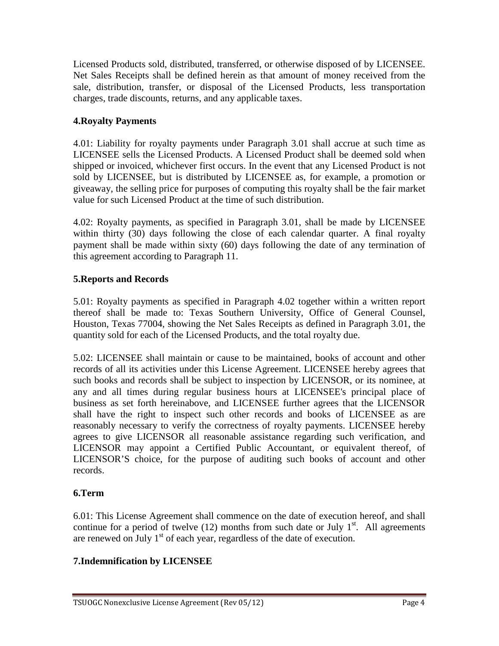Licensed Products sold, distributed, transferred, or otherwise disposed of by LICENSEE. Net Sales Receipts shall be defined herein as that amount of money received from the sale, distribution, transfer, or disposal of the Licensed Products, less transportation charges, trade discounts, returns, and any applicable taxes.

### **4.Royalty Payments**

4.01: Liability for royalty payments under Paragraph 3.01 shall accrue at such time as LICENSEE sells the Licensed Products. A Licensed Product shall be deemed sold when shipped or invoiced, whichever first occurs. In the event that any Licensed Product is not sold by LICENSEE, but is distributed by LICENSEE as, for example, a promotion or giveaway, the selling price for purposes of computing this royalty shall be the fair market value for such Licensed Product at the time of such distribution.

4.02: Royalty payments, as specified in Paragraph 3.01, shall be made by LICENSEE within thirty (30) days following the close of each calendar quarter. A final royalty payment shall be made within sixty (60) days following the date of any termination of this agreement according to Paragraph 11.

### **5.Reports and Records**

5.01: Royalty payments as specified in Paragraph 4.02 together within a written report thereof shall be made to: Texas Southern University, Office of General Counsel, Houston, Texas 77004, showing the Net Sales Receipts as defined in Paragraph 3.01, the quantity sold for each of the Licensed Products, and the total royalty due.

5.02: LICENSEE shall maintain or cause to be maintained, books of account and other records of all its activities under this License Agreement. LICENSEE hereby agrees that such books and records shall be subject to inspection by LICENSOR, or its nominee, at any and all times during regular business hours at LICENSEE's principal place of business as set forth hereinabove, and LICENSEE further agrees that the LICENSOR shall have the right to inspect such other records and books of LICENSEE as are reasonably necessary to verify the correctness of royalty payments. LICENSEE hereby agrees to give LICENSOR all reasonable assistance regarding such verification, and LICENSOR may appoint a Certified Public Accountant, or equivalent thereof, of LICENSOR'S choice, for the purpose of auditing such books of account and other records.

# **6.Term**

6.01: This License Agreement shall commence on the date of execution hereof, and shall continue for a period of twelve  $(12)$  months from such date or July 1<sup>st</sup>. All agreements are renewed on July  $1<sup>st</sup>$  of each year, regardless of the date of execution.

# **7.Indemnification by LICENSEE**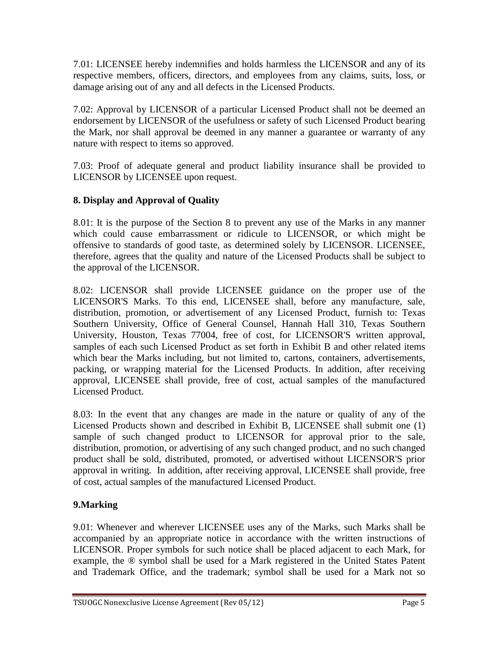7.01: LICENSEE hereby indemnifies and holds harmless the LICENSOR and any of its respective members, officers, directors, and employees from any claims, suits, loss, or damage arising out of any and all defects in the Licensed Products.

7.02: Approval by LICENSOR of a particular Licensed Product shall not be deemed an endorsement by LICENSOR of the usefulness or safety of such Licensed Product bearing the Mark, nor shall approval be deemed in any manner a guarantee or warranty of any nature with respect to items so approved.

7.03: Proof of adequate general and product liability insurance shall be provided to LICENSOR by LICENSEE upon request.

## **8. Display and Approval of Quality**

8.01: It is the purpose of the Section 8 to prevent any use of the Marks in any manner which could cause embarrassment or ridicule to LICENSOR, or which might be offensive to standards of good taste, as determined solely by LICENSOR. LICENSEE, therefore, agrees that the quality and nature of the Licensed Products shall be subject to the approval of the LICENSOR.

8.02: LICENSOR shall provide LICENSEE guidance on the proper use of the LICENSOR'S Marks. To this end, LICENSEE shall, before any manufacture, sale, distribution, promotion, or advertisement of any Licensed Product, furnish to: Texas Southern University, Office of General Counsel, Hannah Hall 310, Texas Southern University, Houston, Texas 77004, free of cost, for LICENSOR'S written approval, samples of each such Licensed Product as set forth in Exhibit B and other related items which bear the Marks including, but not limited to, cartons, containers, advertisements, packing, or wrapping material for the Licensed Products. In addition, after receiving approval, LICENSEE shall provide, free of cost, actual samples of the manufactured Licensed Product.

8.03: In the event that any changes are made in the nature or quality of any of the Licensed Products shown and described in Exhibit B, LICENSEE shall submit one (1) sample of such changed product to LICENSOR for approval prior to the sale, distribution, promotion, or advertising of any such changed product, and no such changed product shall be sold, distributed, promoted, or advertised without LICENSOR'S prior approval in writing. In addition, after receiving approval, LICENSEE shall provide, free of cost, actual samples of the manufactured Licensed Product.

# **9.Marking**

9.01: Whenever and wherever LICENSEE uses any of the Marks, such Marks shall be accompanied by an appropriate notice in accordance with the written instructions of LICENSOR. Proper symbols for such notice shall be placed adjacent to each Mark, for example, the ® symbol shall be used for a Mark registered in the United States Patent and Trademark Office, and the trademark; symbol shall be used for a Mark not so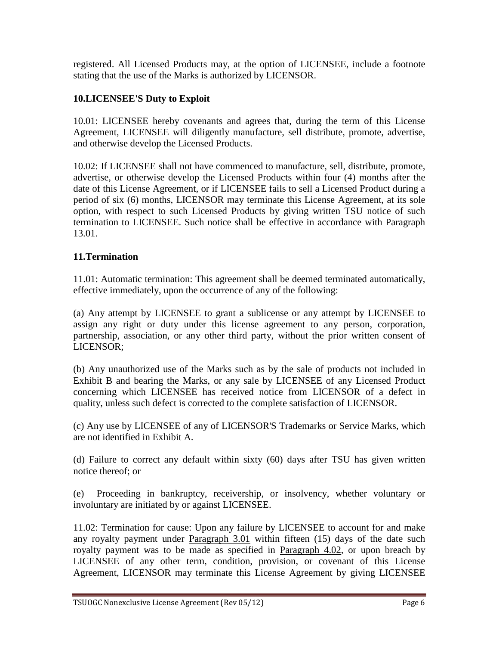registered. All Licensed Products may, at the option of LICENSEE, include a footnote stating that the use of the Marks is authorized by LICENSOR.

## **10.LICENSEE'S Duty to Exploit**

10.01: LICENSEE hereby covenants and agrees that, during the term of this License Agreement, LICENSEE will diligently manufacture, sell distribute, promote, advertise, and otherwise develop the Licensed Products.

10.02: If LICENSEE shall not have commenced to manufacture, sell, distribute, promote, advertise, or otherwise develop the Licensed Products within four (4) months after the date of this License Agreement, or if LICENSEE fails to sell a Licensed Product during a period of six (6) months, LICENSOR may terminate this License Agreement, at its sole option, with respect to such Licensed Products by giving written TSU notice of such termination to LICENSEE. Such notice shall be effective in accordance with Paragraph 13.01.

### **11.Termination**

11.01: Automatic termination: This agreement shall be deemed terminated automatically, effective immediately, upon the occurrence of any of the following:

(a) Any attempt by LICENSEE to grant a sublicense or any attempt by LICENSEE to assign any right or duty under this license agreement to any person, corporation, partnership, association, or any other third party, without the prior written consent of LICENSOR;

(b) Any unauthorized use of the Marks such as by the sale of products not included in Exhibit B and bearing the Marks, or any sale by LICENSEE of any Licensed Product concerning which LICENSEE has received notice from LICENSOR of a defect in quality, unless such defect is corrected to the complete satisfaction of LICENSOR.

(c) Any use by LICENSEE of any of LICENSOR'S Trademarks or Service Marks, which are not identified in Exhibit A.

(d) Failure to correct any default within sixty (60) days after TSU has given written notice thereof; or

(e) Proceeding in bankruptcy, receivership, or insolvency, whether voluntary or involuntary are initiated by or against LICENSEE.

11.02: Termination for cause: Upon any failure by LICENSEE to account for and make any royalty payment under Paragraph 3.01 within fifteen (15) days of the date such royalty payment was to be made as specified in Paragraph 4.02, or upon breach by LICENSEE of any other term, condition, provision, or covenant of this License Agreement, LICENSOR may terminate this License Agreement by giving LICENSEE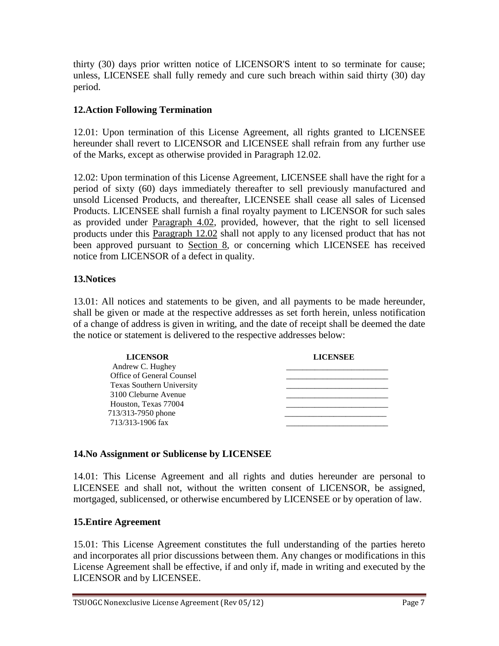thirty (30) days prior written notice of LICENSOR'S intent to so terminate for cause; unless, LICENSEE shall fully remedy and cure such breach within said thirty (30) day period.

### **12.Action Following Termination**

12.01: Upon termination of this License Agreement, all rights granted to LICENSEE hereunder shall revert to LICENSOR and LICENSEE shall refrain from any further use of the Marks, except as otherwise provided in Paragraph 12.02.

12.02: Upon termination of this License Agreement, LICENSEE shall have the right for a period of sixty (60) days immediately thereafter to sell previously manufactured and unsold Licensed Products, and thereafter, LICENSEE shall cease all sales of Licensed Products. LICENSEE shall furnish a final royalty payment to LICENSOR for such sales as provided under Paragraph 4.02, provided, however, that the right to sell licensed products under this Paragraph 12.02 shall not apply to any licensed product that has not been approved pursuant to **Section 8**, or concerning which LICENSEE has received notice from LICENSOR of a defect in quality.

### **13.Notices**

13.01: All notices and statements to be given, and all payments to be made hereunder, shall be given or made at the respective addresses as set forth herein, unless notification of a change of address is given in writing, and the date of receipt shall be deemed the date the notice or statement is delivered to the respective addresses below:

| <b>LICENSOR</b>           | <b>LICENSEE</b> |
|---------------------------|-----------------|
| Andrew C. Hughey          |                 |
| Office of General Counsel |                 |
| Texas Southern University |                 |
| 3100 Cleburne Avenue      |                 |
| Houston, Texas 77004      |                 |
| 713/313-7950 phone        |                 |
| 713/313-1906 fax          |                 |
|                           |                 |

### **14.No Assignment or Sublicense by LICENSEE**

14.01: This License Agreement and all rights and duties hereunder are personal to LICENSEE and shall not, without the written consent of LICENSOR, be assigned, mortgaged, sublicensed, or otherwise encumbered by LICENSEE or by operation of law.

### **15.Entire Agreement**

15.01: This License Agreement constitutes the full understanding of the parties hereto and incorporates all prior discussions between them. Any changes or modifications in this License Agreement shall be effective, if and only if, made in writing and executed by the LICENSOR and by LICENSEE.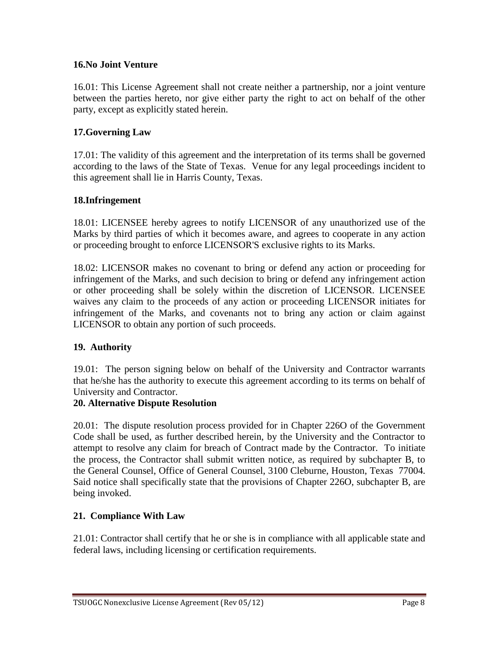### **16.No Joint Venture**

16.01: This License Agreement shall not create neither a partnership, nor a joint venture between the parties hereto, nor give either party the right to act on behalf of the other party, except as explicitly stated herein.

### **17.Governing Law**

17.01: The validity of this agreement and the interpretation of its terms shall be governed according to the laws of the State of Texas. Venue for any legal proceedings incident to this agreement shall lie in Harris County, Texas.

### **18.Infringement**

18.01: LICENSEE hereby agrees to notify LICENSOR of any unauthorized use of the Marks by third parties of which it becomes aware, and agrees to cooperate in any action or proceeding brought to enforce LICENSOR'S exclusive rights to its Marks.

18.02: LICENSOR makes no covenant to bring or defend any action or proceeding for infringement of the Marks, and such decision to bring or defend any infringement action or other proceeding shall be solely within the discretion of LICENSOR. LICENSEE waives any claim to the proceeds of any action or proceeding LICENSOR initiates for infringement of the Marks, and covenants not to bring any action or claim against LICENSOR to obtain any portion of such proceeds.

### **19. Authority**

19.01: The person signing below on behalf of the University and Contractor warrants that he/she has the authority to execute this agreement according to its terms on behalf of University and Contractor.

### **20. Alternative Dispute Resolution**

20.01: The dispute resolution process provided for in Chapter 226O of the Government Code shall be used, as further described herein, by the University and the Contractor to attempt to resolve any claim for breach of Contract made by the Contractor. To initiate the process, the Contractor shall submit written notice, as required by subchapter B, to the General Counsel, Office of General Counsel, 3100 Cleburne, Houston, Texas 77004. Said notice shall specifically state that the provisions of Chapter 226O, subchapter B, are being invoked.

### **21. Compliance With Law**

21.01: Contractor shall certify that he or she is in compliance with all applicable state and federal laws, including licensing or certification requirements.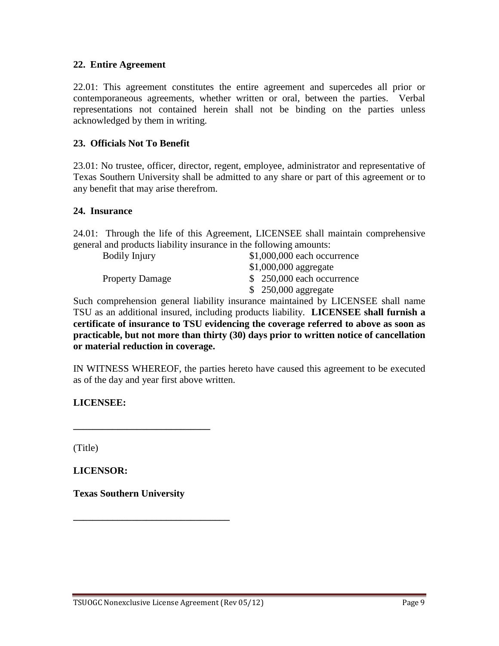#### **22. Entire Agreement**

22.01: This agreement constitutes the entire agreement and supercedes all prior or contemporaneous agreements, whether written or oral, between the parties. Verbal representations not contained herein shall not be binding on the parties unless acknowledged by them in writing.

#### **23. Officials Not To Benefit**

23.01: No trustee, officer, director, regent, employee, administrator and representative of Texas Southern University shall be admitted to any share or part of this agreement or to any benefit that may arise therefrom.

#### **24. Insurance**

24.01: Through the life of this Agreement, LICENSEE shall maintain comprehensive general and products liability insurance in the following amounts:

Bodily Injury \$1,000,000 each occurrence \$1,000,000 aggregate Property Damage  $$ 250,000$  each occurrence \$ 250,000 aggregate

Such comprehension general liability insurance maintained by LICENSEE shall name TSU as an additional insured, including products liability. **LICENSEE shall furnish a certificate of insurance to TSU evidencing the coverage referred to above as soon as practicable, but not more than thirty (30) days prior to written notice of cancellation or material reduction in coverage.**

IN WITNESS WHEREOF, the parties hereto have caused this agreement to be executed as of the day and year first above written.

**LICENSEE:**

(Title)

**LICENSOR:** 

**Texas Southern University**

**\_\_\_\_\_\_\_\_\_\_\_\_\_\_\_\_\_\_\_\_\_\_\_\_\_\_\_\_\_\_\_\_**

**\_\_\_\_\_\_\_\_\_\_\_\_\_\_\_\_\_\_\_\_\_\_\_\_\_\_\_\_**